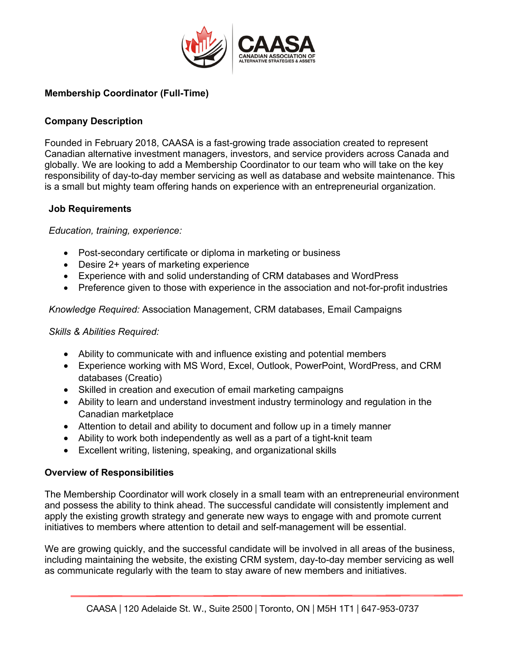

# **Membership Coordinator (Full-Time)**

## **Company Description**

Founded in February 2018, CAASA is a fast-growing trade association created to represent Canadian alternative investment managers, investors, and service providers across Canada and globally. We are looking to add a Membership Coordinator to our team who will take on the key responsibility of day-to-day member servicing as well as database and website maintenance. This is a small but mighty team offering hands on experience with an entrepreneurial organization.

#### **Job Requirements**

*Education, training, experience:*

- Post-secondary certificate or diploma in marketing or business
- Desire 2+ years of marketing experience
- Experience with and solid understanding of CRM databases and WordPress
- Preference given to those with experience in the association and not-for-profit industries

*Knowledge Required:* Association Management, CRM databases, Email Campaigns

### *Skills & Abilities Required:*

- Ability to communicate with and influence existing and potential members
- Experience working with MS Word, Excel, Outlook, PowerPoint, WordPress, and CRM databases (Creatio)
- Skilled in creation and execution of email marketing campaigns
- Ability to learn and understand investment industry terminology and regulation in the Canadian marketplace
- Attention to detail and ability to document and follow up in a timely manner
- Ability to work both independently as well as a part of a tight-knit team
- Excellent writing, listening, speaking, and organizational skills

## **Overview of Responsibilities**

The Membership Coordinator will work closely in a small team with an entrepreneurial environment and possess the ability to think ahead. The successful candidate will consistently implement and apply the existing growth strategy and generate new ways to engage with and promote current initiatives to members where attention to detail and self-management will be essential.

We are growing quickly, and the successful candidate will be involved in all areas of the business, including maintaining the website, the existing CRM system, day-to-day member servicing as well as communicate regularly with the team to stay aware of new members and initiatives.